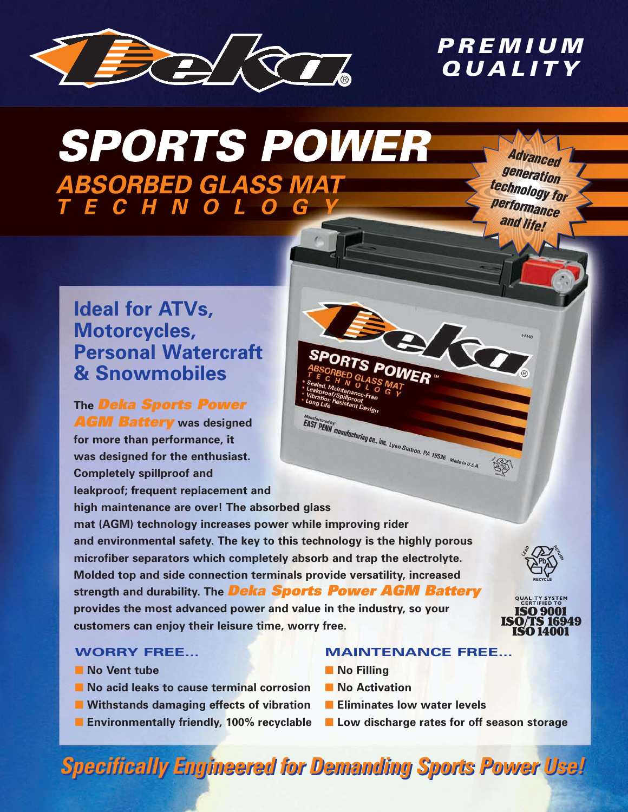

# PREMIUM QUALITY

# **SPORTS POWER ABSORBED GLASS MAT<br>T E C H N O L O G Y**

Advanced generation technology for performance and life!

## **Ideal for ATVs, Motorcycles, Personal Watercraft & Snowmobiles**

**The** Deka Sports Power AGM Battery **was designed for more than performance, it was designed for the enthusiast. Completely spillproof and leakproof; frequent replacement and high maintenance are over! The absorbed glass mat (AGM) technology increases power while improving rider** 

**and environmental safety. The key to this technology is the highly porous microfiber separators which completely absorb and trap the electrolyte. Molded top and side connection terminals provide versatility, increased strength and durability. The** Deka Sports Power AGM Battery **provides the most advanced power and value in the industry, so your customers can enjoy their leisure time, worry free.**





#### **WORRY FREE...**

- **No Vent tube**
- **No acid leaks to cause terminal corrosion**
- Withstands damaging effects of vibration
- **Environmentally friendly, 100% recyclable**
- **MAINTENANCE FREE...**
- **No Filling**
- **No Activation**
- **Eliminates low water levels**

S POWER

Manufactured by:<br> **EAST PENN** manufacturing co., inc. Lyon Station, PA 19536 Mode in U.S.A.

■ Low discharge rates for off season storage

# **Specifically Engineered for Demanding Sports Power Use! Specifically Engineered for Demanding Sports Power Use!**